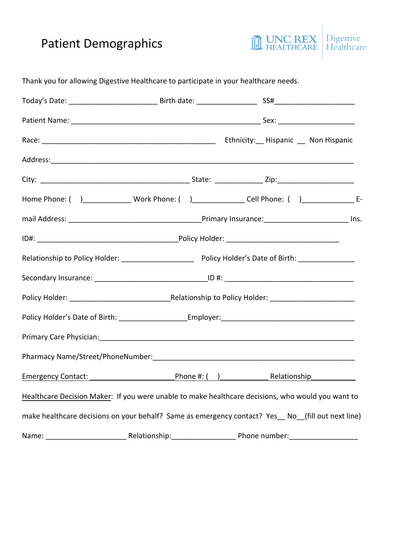# Patient Demographics



Today's Date: The Contract of the Birth date: The SS# Patient Name: \_\_\_\_\_\_\_\_\_\_\_\_\_\_\_\_\_\_\_\_\_\_\_\_\_\_\_\_\_\_\_\_\_\_\_\_\_\_\_\_\_\_\_\_\_\_\_ Sex: \_\_\_\_\_\_\_\_\_\_\_\_\_\_\_\_\_\_\_ Race: \_\_\_\_\_\_\_\_\_\_\_\_\_\_\_\_\_\_\_\_\_\_\_\_\_\_\_\_\_\_\_\_\_\_\_\_\_\_\_\_\_\_\_ Ethnicity:\_\_ Hispanic \_\_ Non Hispanic Address: City: The contract of the contract of the State:  $\mathsf{State}$ : Zip: Home Phone: ( )\_\_\_\_\_\_\_\_\_\_\_\_ Work Phone: ( )\_\_\_\_\_\_\_\_\_\_\_\_\_ Cell Phone: ( )\_\_\_\_\_\_\_\_\_\_\_\_\_ Email Address: \_\_\_\_\_\_\_\_\_\_\_\_\_\_\_\_\_\_\_\_\_\_\_\_\_\_\_\_\_\_\_\_\_Primary Insurance:\_\_\_\_\_\_\_\_\_\_\_\_\_\_\_\_\_\_\_\_\_ Ins. ID#: \_\_\_\_\_\_\_\_\_\_\_\_\_\_\_\_\_\_\_\_\_\_\_\_\_\_\_\_\_\_\_\_\_\_\_Policy Holder: \_\_\_\_\_\_\_\_\_\_\_\_\_\_\_\_\_\_\_\_\_\_\_\_\_\_\_\_ Relationship to Policy Holder: \_\_\_\_\_\_\_\_\_\_\_\_\_\_\_\_\_\_ Policy Holder's Date of Birth: \_\_\_\_\_\_\_\_\_\_\_\_\_\_ Secondary Insurance: \_\_\_\_\_\_\_\_\_\_\_\_\_\_\_\_\_\_\_\_\_\_\_\_\_\_\_\_ID #: \_\_\_\_\_\_\_\_\_\_\_\_\_\_\_\_\_\_\_\_\_\_\_\_\_\_\_\_\_\_\_\_ Policy Holder: \_\_\_\_\_\_\_\_\_\_\_\_\_\_\_\_\_\_\_\_\_\_\_\_\_Relationship to Policy Holder: \_\_\_\_\_\_\_\_\_\_\_\_\_\_\_\_\_\_\_\_\_ Policy Holder's Date of Birth: The Latter Employer: The Latter of Birth: The Latter of Birth: The Latter of Birth Primary Care Physician:\_\_\_\_\_\_\_\_\_\_\_\_\_\_\_\_\_\_\_\_\_\_\_\_\_\_\_\_\_\_\_\_\_\_\_\_\_\_\_\_\_\_\_\_\_\_\_\_\_\_\_\_\_\_\_\_\_\_\_\_\_\_\_ Pharmacy Name/Street/PhoneNumber: etc. and the state of the state of the state of the state of the state of the state of the state of the state of the state of the state of the state of the state of the state of the state Emergency Contact: The Contaction of the Phone #: ( ) The Relationship Healthcare Decision Maker: If you were unable to make healthcare decisions, who would you want to make healthcare decisions on your behalf? Same as emergency contact? Yes No (fill out next line) Name: etc. etc. Altridge Relationship: the energy phone number:

Thank you for allowing Digestive Healthcare to participate in your healthcare needs.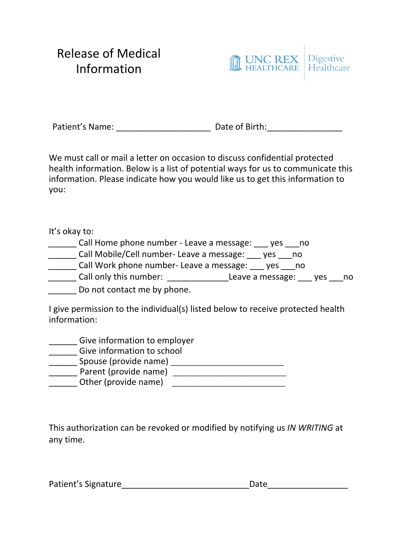# Release of Medical Information



Patient's Name: \_\_\_\_\_\_\_\_\_\_\_\_\_\_\_\_\_\_\_\_ Date of Birth:\_\_\_\_\_\_\_\_\_\_\_\_\_\_\_\_

We must call or mail a letter on occasion to discuss confidential protected health information. Below is a list of potential ways for us to communicate this information. Please indicate how you would like us to get this information to you:

It's okay to:

- Call Home phone number Leave a message: yes \_\_\_ no
- \_\_\_\_\_\_ Call Mobile/Cell number- Leave a message: \_\_\_ yes \_\_\_no
- \_\_\_\_\_\_ Call Work phone number- Leave a message: \_\_\_ yes \_\_\_no
- call only this number: Leave a message: yes and
- Do not contact me by phone.

I give permission to the individual(s) listed below to receive protected health information:

- \_\_\_\_\_\_ Give information to employer
- **\_\_\_\_\_\_** Give information to school
- \_\_\_\_\_\_ Spouse (provide name) \_\_\_\_\_\_\_\_\_\_\_\_\_\_\_\_\_\_\_\_\_\_\_\_
- \_\_\_\_\_\_ Parent (provide name) \_\_\_\_\_\_\_\_\_\_\_\_\_\_\_\_\_\_\_\_\_\_\_\_
- \_\_\_\_\_\_ Other (provide name) \_\_\_\_\_\_\_\_\_\_\_\_\_\_\_\_\_\_\_\_\_\_\_\_

This authorization can be revoked or modified by notifying us *IN WRITING* at any time.

Patient's Signature extending the Date of Date of the Signature of the Signature of the Signature of the Signa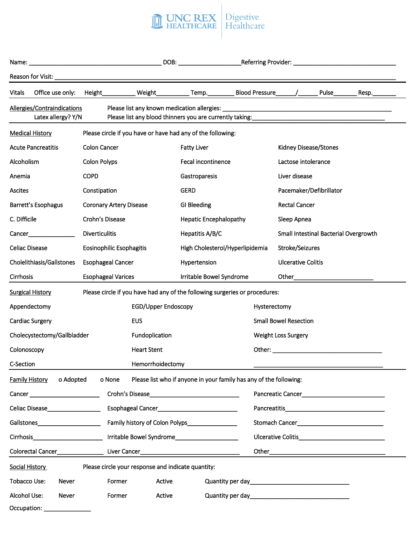

| Name:                                                                                                                                                              |                  |                       |                                | <u> 1980 - Jan James James James James James James James James James James James James James James James James J</u> |                               |                                 |                              |                           |  |                         | DOB: ____________________________Referring Provider: ___________________________ |  |
|--------------------------------------------------------------------------------------------------------------------------------------------------------------------|------------------|-----------------------|--------------------------------|----------------------------------------------------------------------------------------------------------------------|-------------------------------|---------------------------------|------------------------------|---------------------------|--|-------------------------|----------------------------------------------------------------------------------|--|
| Reason for Visit: ____                                                                                                                                             |                  |                       |                                |                                                                                                                      |                               |                                 |                              |                           |  |                         |                                                                                  |  |
| <b>Vitals</b>                                                                                                                                                      | Office use only: | Height_               |                                | Weight                                                                                                               |                               | Temp. Blood Pressure            |                              |                           |  | Pulse                   | Resp.                                                                            |  |
| Allergies/Contraindications<br>Latex allergy? Y/N<br>Please list any blood thinners you are currently taking: entitled and the matter of the state of the state of |                  |                       |                                |                                                                                                                      |                               |                                 |                              |                           |  |                         |                                                                                  |  |
| <b>Medical History</b>                                                                                                                                             |                  |                       |                                | Please circle if you have or have had any of the following:                                                          |                               |                                 |                              |                           |  |                         |                                                                                  |  |
| <b>Acute Pancreatitis</b>                                                                                                                                          |                  | Colon Cancer          |                                |                                                                                                                      | <b>Fatty Liver</b>            |                                 |                              | Kidney Disease/Stones     |  |                         |                                                                                  |  |
| Alcoholism                                                                                                                                                         |                  | Colon Polyps          |                                |                                                                                                                      | Fecal incontinence            |                                 |                              | Lactose intolerance       |  |                         |                                                                                  |  |
| Anemia                                                                                                                                                             |                  | <b>COPD</b>           |                                |                                                                                                                      | Gastroparesis                 |                                 |                              | Liver disease             |  |                         |                                                                                  |  |
| <b>Ascites</b>                                                                                                                                                     |                  | Constipation          |                                |                                                                                                                      | <b>GERD</b>                   |                                 |                              |                           |  | Pacemaker/Defibrillator |                                                                                  |  |
| Barrett's Esophagus                                                                                                                                                |                  |                       | <b>Coronary Artery Disease</b> |                                                                                                                      | GI Bleeding                   |                                 |                              | <b>Rectal Cancer</b>      |  |                         |                                                                                  |  |
| C. Difficile                                                                                                                                                       |                  | Crohn's Disease       |                                |                                                                                                                      | <b>Hepatic Encephalopathy</b> |                                 |                              | Sleep Apnea               |  |                         |                                                                                  |  |
| Cancer                                                                                                                                                             |                  | <b>Diverticulitis</b> |                                |                                                                                                                      | Hepatitis A/B/C               |                                 |                              |                           |  |                         | Small Intestinal Bacterial Overgrowth                                            |  |
| <b>Celiac Disease</b>                                                                                                                                              |                  |                       | Eosinophilic Esophagitis       |                                                                                                                      |                               | High Cholesterol/Hyperlipidemia |                              | Stroke/Seizures           |  |                         |                                                                                  |  |
| Cholelithiasis/Gallstones                                                                                                                                          |                  |                       | <b>Esophageal Cancer</b>       |                                                                                                                      | Hypertension                  |                                 |                              | <b>Ulcerative Colitis</b> |  |                         |                                                                                  |  |
| Cirrhosis                                                                                                                                                          |                  |                       | <b>Esophageal Varices</b>      |                                                                                                                      |                               | Irritable Bowel Syndrome        |                              | Other                     |  |                         |                                                                                  |  |
| <b>Surgical History</b>                                                                                                                                            |                  |                       |                                | Please circle if you have had any of the following surgeries or procedures:                                          |                               |                                 |                              |                           |  |                         |                                                                                  |  |
| Appendectomy                                                                                                                                                       |                  |                       |                                | <b>EGD/Upper Endoscopy</b>                                                                                           |                               |                                 | Hysterectomy                 |                           |  |                         |                                                                                  |  |
| Cardiac Surgery                                                                                                                                                    |                  |                       |                                | <b>EUS</b>                                                                                                           |                               |                                 | <b>Small Bowel Resection</b> |                           |  |                         |                                                                                  |  |
| Cholecystectomy/Gallbladder                                                                                                                                        |                  |                       |                                | Fundoplication                                                                                                       |                               |                                 | <b>Weight Loss Surgery</b>   |                           |  |                         |                                                                                  |  |
| Colonoscopy                                                                                                                                                        |                  |                       |                                | <b>Heart Stent</b>                                                                                                   |                               |                                 | Other:                       |                           |  |                         |                                                                                  |  |
| C-Section                                                                                                                                                          |                  |                       |                                | Hemorrhoidectomy                                                                                                     |                               |                                 |                              |                           |  |                         |                                                                                  |  |
| <b>Family History</b>                                                                                                                                              | o Adopted        |                       | o None                         | Please list who if anyone in your family has any of the following:                                                   |                               |                                 |                              |                           |  |                         |                                                                                  |  |
| Cancer __________________________                                                                                                                                  |                  |                       |                                |                                                                                                                      |                               |                                 |                              |                           |  |                         |                                                                                  |  |
| Celiac Disease Manual Manual Manual                                                                                                                                |                  |                       |                                | Esophageal Cancer_______________________________                                                                     |                               |                                 | Pancreatitis Pancreatitis    |                           |  |                         |                                                                                  |  |
| Gallstones_______________________                                                                                                                                  |                  |                       |                                | Family history of Colon Polyps                                                                                       |                               |                                 |                              |                           |  |                         |                                                                                  |  |
| Cirrhosis Cirrhosis Cirrhosis Cirrhosis Cirrhosis Cirrhosis Cirrhosis Cirrhosis Cirrhosis Cirrhosis Circle Cir                                                     |                  |                       |                                |                                                                                                                      |                               |                                 |                              |                           |  |                         |                                                                                  |  |
|                                                                                                                                                                    |                  |                       |                                | Colorectal Cancer______________________Liver Cancer_____________________________                                     |                               |                                 |                              |                           |  |                         |                                                                                  |  |
| Social History                                                                                                                                                     |                  |                       |                                | Please circle your response and indicate quantity:                                                                   |                               |                                 |                              |                           |  |                         |                                                                                  |  |
| Tobacco Use:                                                                                                                                                       | Never            |                       | Former                         | Active                                                                                                               |                               |                                 |                              |                           |  |                         |                                                                                  |  |
| Alcohol Use:                                                                                                                                                       | Never            |                       | Former                         | Active                                                                                                               |                               |                                 |                              |                           |  |                         |                                                                                  |  |
| Occupation: _______________                                                                                                                                        |                  |                       |                                |                                                                                                                      |                               |                                 |                              |                           |  |                         |                                                                                  |  |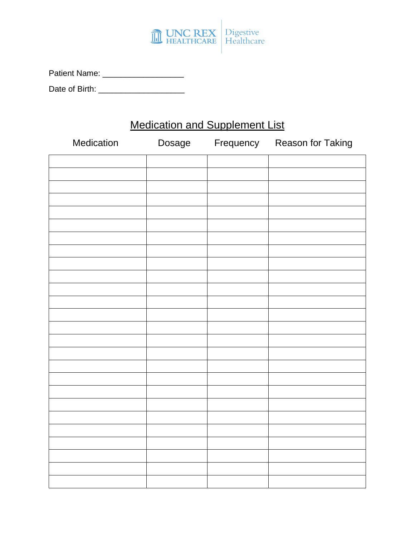

| <b>Patient Name:</b> |  |  |  |
|----------------------|--|--|--|
|                      |  |  |  |

Date of Birth: \_\_\_\_\_\_\_\_\_\_\_\_\_\_\_\_\_\_\_

# Medication and Supplement List

| Medication | Dosage | Frequency Reason for Taking |
|------------|--------|-----------------------------|
|            |        |                             |
|            |        |                             |
|            |        |                             |
|            |        |                             |
|            |        |                             |
|            |        |                             |
|            |        |                             |
|            |        |                             |
|            |        |                             |
|            |        |                             |
|            |        |                             |
|            |        |                             |
|            |        |                             |
|            |        |                             |
|            |        |                             |
|            |        |                             |
|            |        |                             |
|            |        |                             |
|            |        |                             |
|            |        |                             |
|            |        |                             |
|            |        |                             |
|            |        |                             |
|            |        |                             |
|            |        |                             |
|            |        |                             |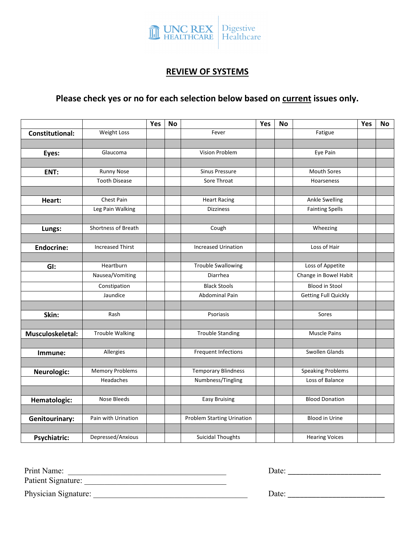

#### **REVIEW OF SYSTEMS**

### **Please check yes or no for each selection below based on current issues only.**

|                        |                         | Yes | <b>No</b> |                                   | Yes | No |                             | Yes | No |
|------------------------|-------------------------|-----|-----------|-----------------------------------|-----|----|-----------------------------|-----|----|
| <b>Constitutional:</b> | Weight Loss             |     |           | Fever                             |     |    | Fatigue                     |     |    |
|                        |                         |     |           |                                   |     |    |                             |     |    |
| Eyes:                  | Glaucoma                |     |           | Vision Problem                    |     |    | Eye Pain                    |     |    |
|                        |                         |     |           |                                   |     |    |                             |     |    |
| ENT:                   | <b>Runny Nose</b>       |     |           | <b>Sinus Pressure</b>             |     |    | <b>Mouth Sores</b>          |     |    |
|                        | <b>Tooth Disease</b>    |     |           | Sore Throat                       |     |    | Hoarseness                  |     |    |
|                        |                         |     |           |                                   |     |    |                             |     |    |
| Heart:                 | Chest Pain              |     |           | <b>Heart Racing</b>               |     |    | <b>Ankle Swelling</b>       |     |    |
|                        | Leg Pain Walking        |     |           | <b>Dizziness</b>                  |     |    | <b>Fainting Spells</b>      |     |    |
|                        |                         |     |           |                                   |     |    |                             |     |    |
| Lungs:                 | Shortness of Breath     |     |           | Cough                             |     |    | Wheezing                    |     |    |
|                        |                         |     |           |                                   |     |    |                             |     |    |
| <b>Endocrine:</b>      | <b>Increased Thirst</b> |     |           | <b>Increased Urination</b>        |     |    | Loss of Hair                |     |    |
|                        |                         |     |           |                                   |     |    |                             |     |    |
| GI:                    | Heartburn               |     |           | <b>Trouble Swallowing</b>         |     |    | Loss of Appetite            |     |    |
|                        | Nausea/Vomiting         |     |           | Diarrhea                          |     |    | Change in Bowel Habit       |     |    |
|                        | Constipation            |     |           | <b>Black Stools</b>               |     |    | <b>Blood in Stool</b>       |     |    |
|                        | Jaundice                |     |           | <b>Abdominal Pain</b>             |     |    | <b>Getting Full Quickly</b> |     |    |
|                        |                         |     |           |                                   |     |    |                             |     |    |
| Skin:                  | Rash                    |     |           | Psoriasis                         |     |    | Sores                       |     |    |
|                        |                         |     |           |                                   |     |    |                             |     |    |
| Musculoskeletal:       | <b>Trouble Walking</b>  |     |           | <b>Trouble Standing</b>           |     |    | <b>Muscle Pains</b>         |     |    |
|                        |                         |     |           |                                   |     |    |                             |     |    |
| Immune:                | Allergies               |     |           | Frequent Infections               |     |    | Swollen Glands              |     |    |
|                        |                         |     |           |                                   |     |    |                             |     |    |
| Neurologic:            | <b>Memory Problems</b>  |     |           | <b>Temporary Blindness</b>        |     |    | <b>Speaking Problems</b>    |     |    |
|                        | Headaches               |     |           | Numbness/Tingling                 |     |    | Loss of Balance             |     |    |
|                        |                         |     |           |                                   |     |    |                             |     |    |
| Hematologic:           | Nose Bleeds             |     |           | <b>Easy Bruising</b>              |     |    | <b>Blood Donation</b>       |     |    |
|                        |                         |     |           |                                   |     |    |                             |     |    |
| Genitourinary:         | Pain with Urination     |     |           | <b>Problem Starting Urination</b> |     |    | <b>Blood in Urine</b>       |     |    |
|                        |                         |     |           |                                   |     |    |                             |     |    |
| <b>Psychiatric:</b>    | Depressed/Anxious       |     |           | <b>Suicidal Thoughts</b>          |     |    | <b>Hearing Voices</b>       |     |    |

Print Name: \_\_\_\_\_\_\_\_\_\_\_\_\_\_\_\_\_\_\_\_\_\_\_\_\_\_\_\_\_\_\_\_\_\_\_\_\_\_\_

Patient Signature: \_\_\_\_\_\_\_\_\_\_\_\_\_\_\_\_\_\_\_\_\_\_\_\_\_\_\_\_\_\_\_\_\_\_\_

Physician Signature: \_\_\_\_\_\_\_\_\_\_\_\_\_\_\_\_\_\_\_\_\_\_\_\_\_\_\_\_\_\_\_\_\_\_\_\_\_\_ Date: \_\_\_\_\_\_\_\_\_\_\_\_\_\_\_\_\_\_\_\_\_\_\_\_

Date: \_\_\_\_\_\_\_\_\_\_\_\_\_\_\_\_\_\_\_\_\_\_\_